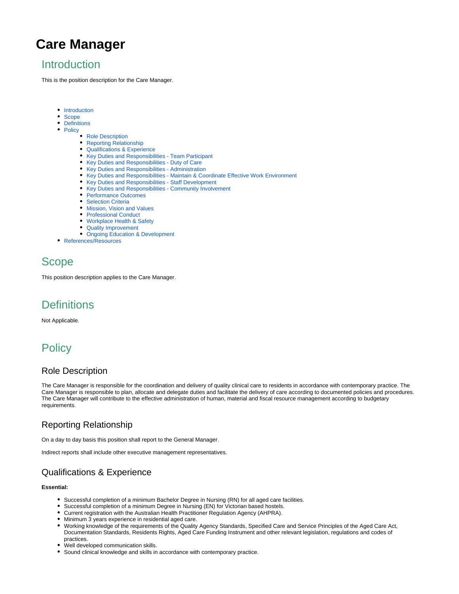# **Care Manager**

### <span id="page-0-0"></span>**Introduction**

This is the position description for the Care Manager.

- **•** [Introduction](#page-0-0)
- [Scope](#page-0-1)
- [Definitions](#page-0-2)
- [Policy](#page-0-3)
	- [Role Description](#page-0-4)
	- [Reporting Relationship](#page-0-5)
	- [Qualifications & Experience](#page-0-6)
	- [Key Duties and Responsibilities Team Participant](#page-1-0)
	- [Key Duties and Responsibilities Duty of Care](#page-1-1)
	- [Key Duties and Responsibilities Administration](#page-1-2)
	- [Key Duties and Responsibilities Maintain & Coordinate Effective Work Environment](#page-1-3)
	- Key Duties and Responsibilities Staff Development
	- [Key Duties and Responsibilities Community Involvement](#page-1-5)
	- [Performance Outcomes](#page-1-6)
	- **[Selection Criteria](#page-1-7)**
	- [Mission, Vision and Values](#page-1-8)
	- [Professional Conduct](#page-2-0)
	- [Workplace Health & Safety](#page-2-1)
	- [Quality Improvement](#page-2-2)
	- [Ongoing Education & Development](#page-2-3)
- [References/Resources](#page-2-4)

## <span id="page-0-1"></span>Scope

This position description applies to the Care Manager.

### <span id="page-0-2"></span>**Definitions**

Not Applicable.

## <span id="page-0-3"></span>**Policy**

#### <span id="page-0-4"></span>Role Description

The Care Manager is responsible for the coordination and delivery of quality clinical care to residents in accordance with contemporary practice. The Care Manager is responsible to plan, allocate and delegate duties and facilitate the delivery of care according to documented policies and procedures. The Care Manager will contribute to the effective administration of human, material and fiscal resource management according to budgetary requirements.

### <span id="page-0-5"></span>Reporting Relationship

On a day to day basis this position shall report to the General Manager.

Indirect reports shall include other executive management representatives.

### <span id="page-0-6"></span>Qualifications & Experience

#### **Essential:**

- Successful completion of a minimum Bachelor Degree in Nursing (RN) for all aged care facilities.
- Successful completion of a minimum Degree in Nursing (EN) for Victorian based hostels.
- Current registration with the Australian Health Practitioner Regulation Agency (AHPRA).
- Minimum 3 years experience in residential aged care.
- Working knowledge of the requirements of the Quality Agency Standards, Specified Care and Service Principles of the Aged Care Act, Documentation Standards, Residents Rights, Aged Care Funding Instrument and other relevant legislation, regulations and codes of practices.
- Well developed communication skills.
- Sound clinical knowledge and skills in accordance with contemporary practice.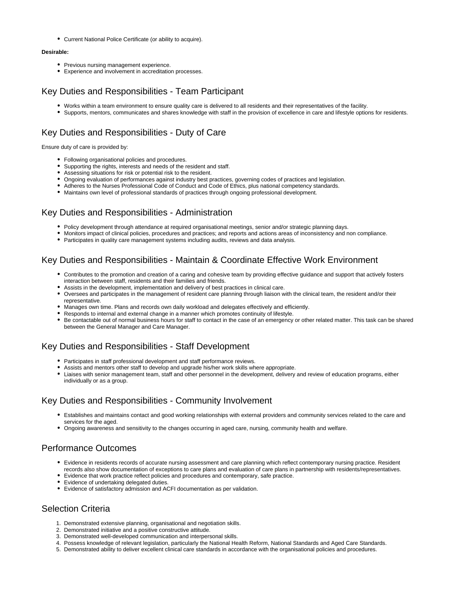Current National Police Certificate (or ability to acquire).

#### **Desirable:**

- Previous nursing management experience.
- Experience and involvement in accreditation processes.

#### <span id="page-1-0"></span>Key Duties and Responsibilities - Team Participant

- Works within a team environment to ensure quality care is delivered to all residents and their representatives of the facility.
- Supports, mentors, communicates and shares knowledge with staff in the provision of excellence in care and lifestyle options for residents.

#### <span id="page-1-1"></span>Key Duties and Responsibilities - Duty of Care

Ensure duty of care is provided by:

- Following organisational policies and procedures.
- Supporting the rights, interests and needs of the resident and staff.
- Assessing situations for risk or potential risk to the resident.
- Ongoing evaluation of performances against industry best practices, governing codes of practices and legislation.
- Adheres to the Nurses Professional Code of Conduct and Code of Ethics, plus national competency standards.
- Maintains own level of professional standards of practices through ongoing professional development.

#### <span id="page-1-2"></span>Key Duties and Responsibilities - Administration

- Policy development through attendance at required organisational meetings, senior and/or strategic planning days.
- Monitors impact of clinical policies, procedures and practices; and reports and actions areas of inconsistency and non compliance.
- Participates in quality care management systems including audits, reviews and data analysis.

#### <span id="page-1-3"></span>Key Duties and Responsibilities - Maintain & Coordinate Effective Work Environment

- Contributes to the promotion and creation of a caring and cohesive team by providing effective guidance and support that actively fosters interaction between staff, residents and their families and friends.
- Assists in the development, implementation and delivery of best practices in clinical care.
- Oversees and participates in the management of resident care planning through liaison with the clinical team, the resident and/or their representative.
- Manages own time. Plans and records own daily workload and delegates effectively and efficiently.
- Responds to internal and external change in a manner which promotes continuity of lifestyle.
- Be contactable out of normal business hours for staff to contact in the case of an emergency or other related matter. This task can be shared between the General Manager and Care Manager.

#### <span id="page-1-4"></span>Key Duties and Responsibilities - Staff Development

- Participates in staff professional development and staff performance reviews.
- Assists and mentors other staff to develop and upgrade his/her work skills where appropriate.
- Liaises with senior management team, staff and other personnel in the development, delivery and review of education programs, either individually or as a group.

#### <span id="page-1-5"></span>Key Duties and Responsibilities - Community Involvement

- Establishes and maintains contact and good working relationships with external providers and community services related to the care and services for the aged.
- Ongoing awareness and sensitivity to the changes occurring in aged care, nursing, community health and welfare.

#### <span id="page-1-6"></span>Performance Outcomes

- Evidence in residents records of accurate nursing assessment and care planning which reflect contemporary nursing practice. Resident records also show documentation of exceptions to care plans and evaluation of care plans in partnership with residents/representatives.
- Evidence that work practice reflect policies and procedures and contemporary, safe practice.
- Evidence of undertaking delegated duties.
- Evidence of satisfactory admission and ACFI documentation as per validation.

#### <span id="page-1-7"></span>Selection Criteria

- 1. Demonstrated extensive planning, organisational and negotiation skills.
- 2. Demonstrated initiative and a positive constructive attitude.
- 3. Demonstrated well-developed communication and interpersonal skills.
- 4. Possess knowledge of relevant legislation, particularly the National Health Reform, National Standards and Aged Care Standards.
- <span id="page-1-8"></span>5. Demonstrated ability to deliver excellent clinical care standards in accordance with the organisational policies and procedures.